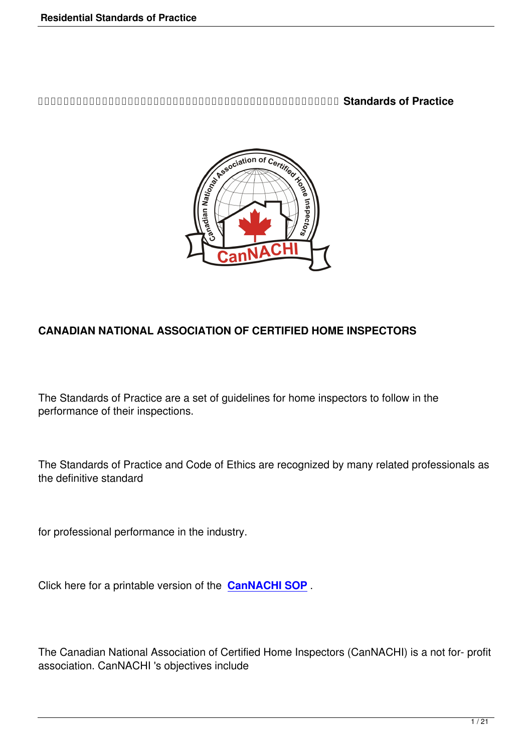**DRAGAZION CONTRIGUTE IN A THE CONTROLLED IN THE CONTROLLED IN THE CONTROL OF PRACTICE** 



#### **CANADIAN NATIONAL ASSOCIATION OF CERTIFIED HOME INSPECTORS**

The Standards of Practice are a set of guidelines for home inspectors to follow in the performance of their inspections.

The Standards of Practice and Code of Ethics are recognized by many related professionals as the definitive standard

for professional performance in the industry.

Click here for a printable version of the **CanNACHI SOP** .

The Canadian National Association of Certified Home Inspectors (CanNACHI) is a not for- profit association. CanNACHI 's objectives include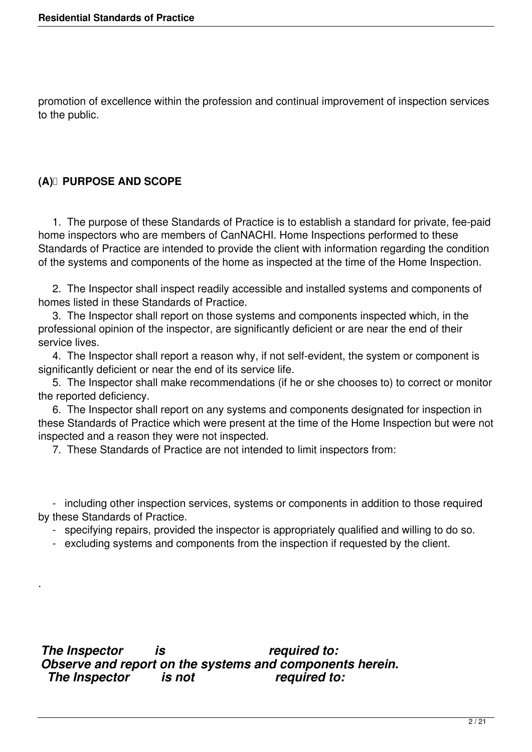promotion of excellence within the profession and continual improvement of inspection services to the public.

#### **(A) PURPOSE AND SCOPE**

.

 1. The purpose of these Standards of Practice is to establish a standard for private, fee-paid home inspectors who are members of CanNACHI. Home Inspections performed to these Standards of Practice are intended to provide the client with information regarding the condition of the systems and components of the home as inspected at the time of the Home Inspection.

 2. The Inspector shall inspect readily accessible and installed systems and components of homes listed in these Standards of Practice.

 3. The Inspector shall report on those systems and components inspected which, in the professional opinion of the inspector, are significantly deficient or are near the end of their service lives.

 4. The Inspector shall report a reason why, if not self-evident, the system or component is significantly deficient or near the end of its service life.

 5. The Inspector shall make recommendations (if he or she chooses to) to correct or monitor the reported deficiency.

 6. The Inspector shall report on any systems and components designated for inspection in these Standards of Practice which were present at the time of the Home Inspection but were not inspected and a reason they were not inspected.

7. These Standards of Practice are not intended to limit inspectors from:

 - including other inspection services, systems or components in addition to those required by these Standards of Practice.

- specifying repairs, provided the inspector is appropriately qualified and willing to do so.

- excluding systems and components from the inspection if requested by the client.

*The Inspector is required to: Observe and report on the systems and components herein. The Inspector is not*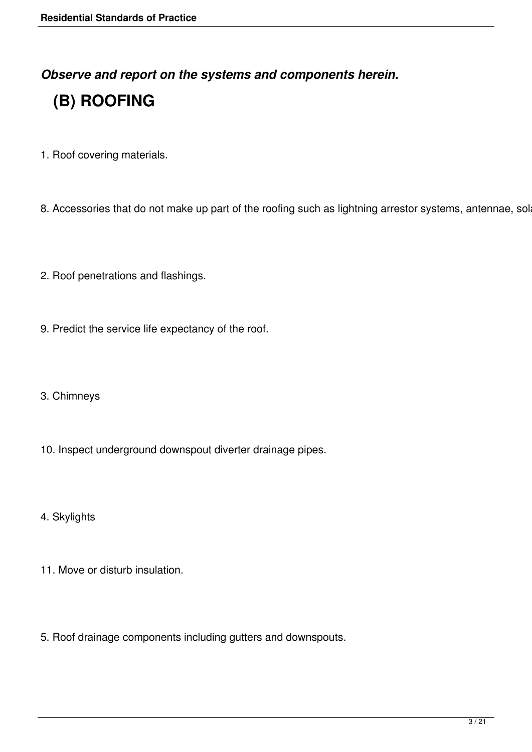*Observe and report on the systems and components herein.*

# **(B) ROOFING**

1. Roof covering materials.

8. Accessories that do not make up part of the roofing such as lightning arrestor systems, antennae, sol

- 2. Roof penetrations and flashings.
- 9. Predict the service life expectancy of the roof.
- 3. Chimneys
- 10. Inspect underground downspout diverter drainage pipes.
- 4. Skylights
- 11. Move or disturb insulation.
- 5. Roof drainage components including gutters and downspouts.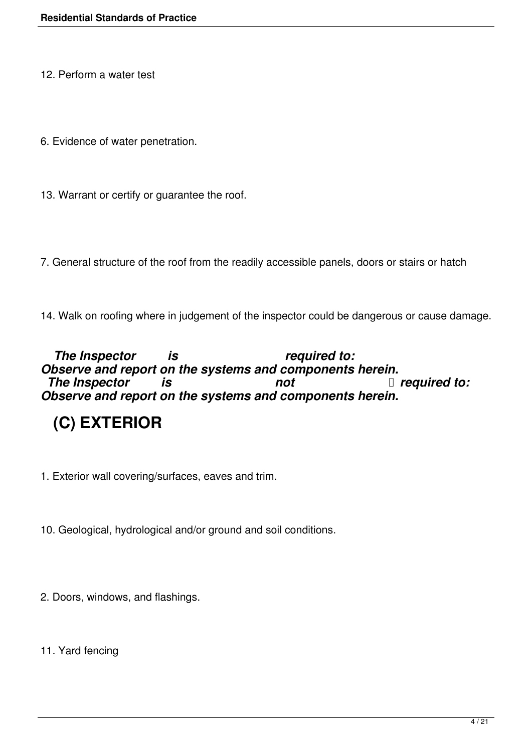12. Perform a water test

- 6. Evidence of water penetration.
- 13. Warrant or certify or guarantee the roof.

7. General structure of the roof from the readily accessible panels, doors or stairs or hatch

14. Walk on roofing where in judgement of the inspector could be dangerous or cause damage.

The Inspector is the *required to: Observe and report on the systems and components herein.*<br>The Inspector is not Department and the system of Department of the Inspector *The Inspector is not Observe and report on the systems and components herein.*

# **(C) EXTERIOR**

1. Exterior wall covering/surfaces, eaves and trim.

10. Geological, hydrological and/or ground and soil conditions.

2. Doors, windows, and flashings.

11. Yard fencing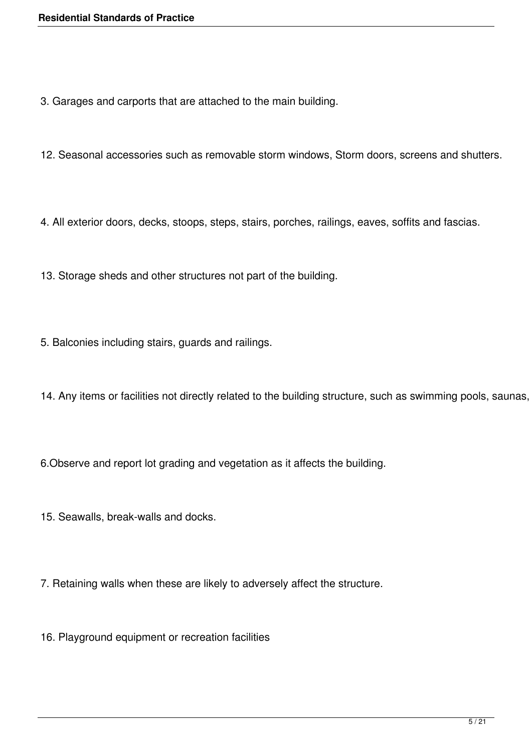- 3. Garages and carports that are attached to the main building.
- 12. Seasonal accessories such as removable storm windows, Storm doors, screens and shutters.
- 4. All exterior doors, decks, stoops, steps, stairs, porches, railings, eaves, soffits and fascias.
- 13. Storage sheds and other structures not part of the building.
- 5. Balconies including stairs, guards and railings.
- 14. Any items or facilities not directly related to the building structure, such as swimming pools, saunas,
- 6.Observe and report lot grading and vegetation as it affects the building.
- 15. Seawalls, break-walls and docks.
- 7. Retaining walls when these are likely to adversely affect the structure.
- 16. Playground equipment or recreation facilities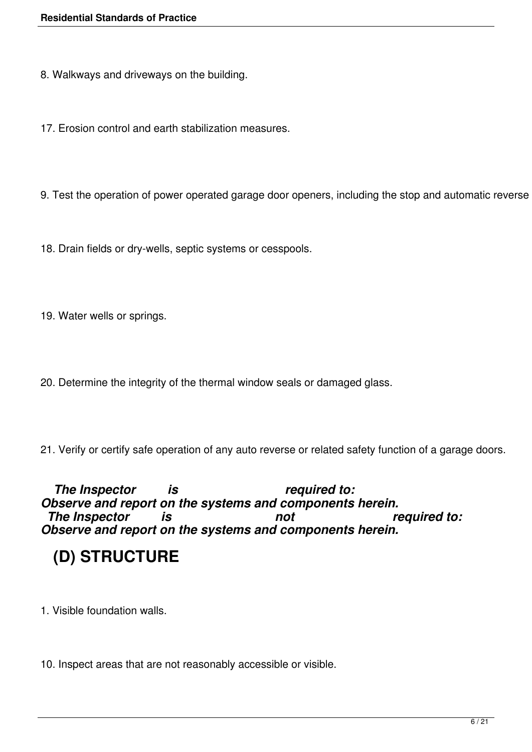8. Walkways and driveways on the building.

17. Erosion control and earth stabilization measures.

9. Test the operation of power operated garage door openers, including the stop and automatic reverse

18. Drain fields or dry-wells, septic systems or cesspools.

19. Water wells or springs.

20. Determine the integrity of the thermal window seals or damaged glass.

21. Verify or certify safe operation of any auto reverse or related safety function of a garage doors.

 *The Inspector is required to: Observe and report on the systems and components herein. The Inspector is not required to: Observe and report on the systems and components herein.*

# **(D) STRUCTURE**

1. Visible foundation walls.

10. Inspect areas that are not reasonably accessible or visible.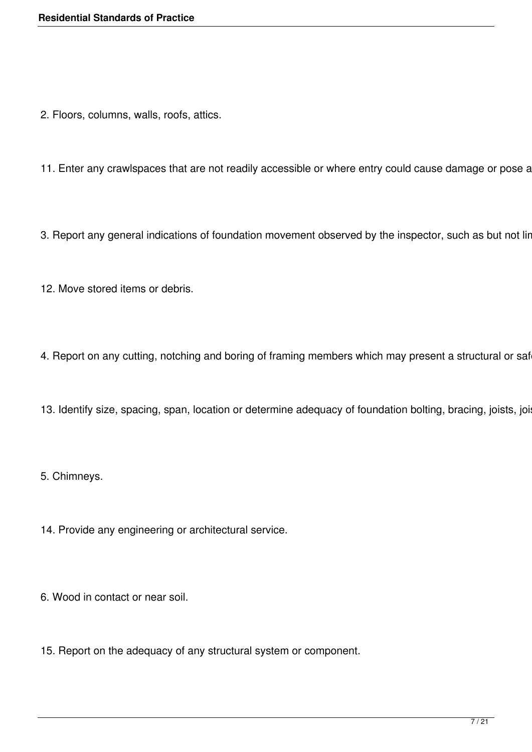- 2. Floors, columns, walls, roofs, attics.
- 11. Enter any crawlspaces that are not readily accessible or where entry could cause damage or pose a
- 3. Report any general indications of foundation movement observed by the inspector, such as but not lir
- 12. Move stored items or debris.
- 4. Report on any cutting, notching and boring of framing members which may present a structural or saf
- 13. Identify size, spacing, span, location or determine adequacy of foundation bolting, bracing, joists, joi

5. Chimneys.

- 14. Provide any engineering or architectural service.
- 6. Wood in contact or near soil.
- 15. Report on the adequacy of any structural system or component.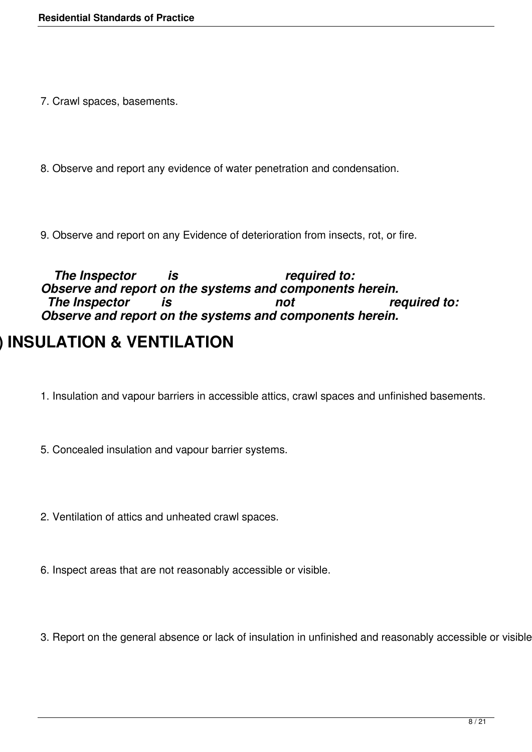7. Crawl spaces, basements.

8. Observe and report any evidence of water penetration and condensation.

9. Observe and report on any Evidence of deterioration from insects, rot, or fire.

The Inspector is the required to: *Observe and report on the systems and components herein. The Inspector is not required to: Observe and report on the systems and components herein.*

### **(E) INSULATION & VENTILATION**

- 1. Insulation and vapour barriers in accessible attics, crawl spaces and unfinished basements.
- 5. Concealed insulation and vapour barrier systems.
- 2. Ventilation of attics and unheated crawl spaces.
- 6. Inspect areas that are not reasonably accessible or visible.

3. Report on the general absence or lack of insulation in unfinished and reasonably accessible or visible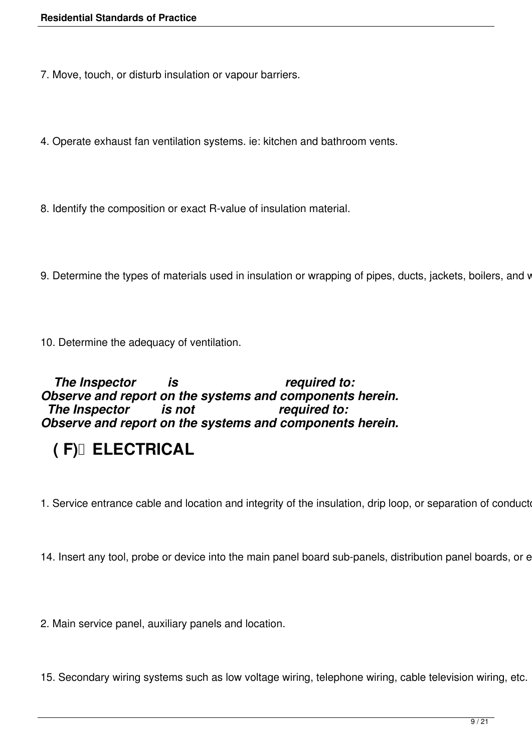7. Move, touch, or disturb insulation or vapour barriers.

4. Operate exhaust fan ventilation systems. ie: kitchen and bathroom vents.

8. Identify the composition or exact R-value of insulation material.

9. Determine the types of materials used in insulation or wrapping of pipes, ducts, jackets, boilers, and v

10. Determine the adequacy of ventilation.

#### The Inspector is the *required to: Observe and report on the systems and components herein. The Inspector is not Observe and report on the systems and components herein.*

# **( F) ELECTRICAL**

1. Service entrance cable and location and integrity of the insulation, drip loop, or separation of conducte

14. Insert any tool, probe or device into the main panel board sub-panels, distribution panel boards, or e

2. Main service panel, auxiliary panels and location.

15. Secondary wiring systems such as low voltage wiring, telephone wiring, cable television wiring, etc.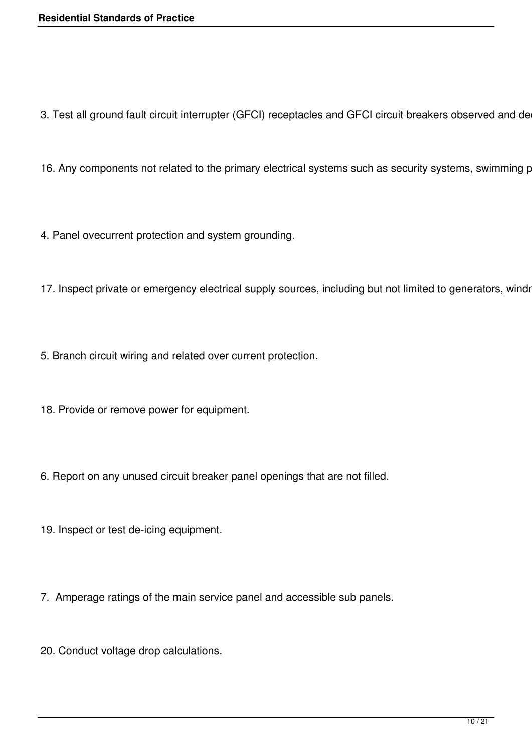3. Test all ground fault circuit interrupter (GFCI) receptacles and GFCI circuit breakers observed and de

16. Any components not related to the primary electrical systems such as security systems, swimming p

4. Panel ovecurrent protection and system grounding.

17. Inspect private or emergency electrical supply sources, including but not limited to generators, windr

5. Branch circuit wiring and related over current protection.

- 18. Provide or remove power for equipment.
- 6. Report on any unused circuit breaker panel openings that are not filled.
- 19. Inspect or test de-icing equipment.
- 7. Amperage ratings of the main service panel and accessible sub panels.
- 20. Conduct voltage drop calculations.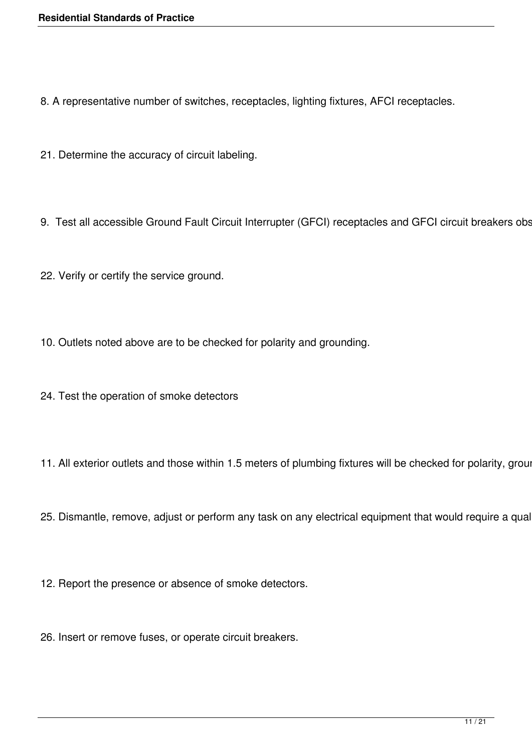8. A representative number of switches, receptacles, lighting fixtures, AFCI receptacles.

- 21. Determine the accuracy of circuit labeling.
- 9. Test all accessible Ground Fault Circuit Interrupter (GFCI) receptacles and GFCI circuit breakers obs
- 22. Verify or certify the service ground.
- 10. Outlets noted above are to be checked for polarity and grounding.
- 24. Test the operation of smoke detectors
- 11. All exterior outlets and those within 1.5 meters of plumbing fixtures will be checked for polarity, groun
- 25. Dismantle, remove, adjust or perform any task on any electrical equipment that would require a qual
- 12. Report the presence or absence of smoke detectors.
- 26. Insert or remove fuses, or operate circuit breakers.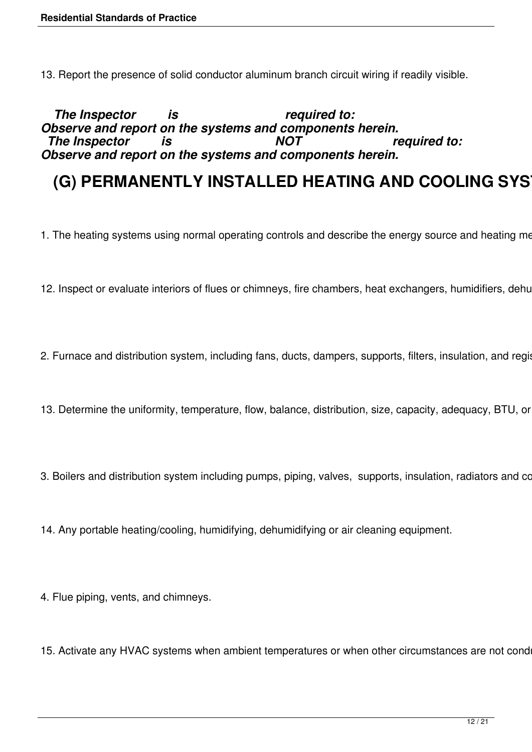13. Report the presence of solid conductor aluminum branch circuit wiring if readily visible.

 *The Inspector is required to: Observe and report on the systems and components herein. The Inspector is NOT required to: Observe and report on the systems and components herein.*

### **(G) PERMANENTLY INSTALLED HEATING AND COOLING SYS**

- 1. The heating systems using normal operating controls and describe the energy source and heating me
- 12. Inspect or evaluate interiors of flues or chimneys, fire chambers, heat exchangers, humidifiers, dehu
- 2. Furnace and distribution system, including fans, ducts, dampers, supports, filters, insulation, and register
- 13. Determine the uniformity, temperature, flow, balance, distribution, size, capacity, adequacy, BTU, or
- 3. Boilers and distribution system including pumps, piping, valves, supports, insulation, radiators and convectors.
- 14. Any portable heating/cooling, humidifying, dehumidifying or air cleaning equipment.
- 4. Flue piping, vents, and chimneys.
- 15. Activate any HVAC systems when ambient temperatures or when other circumstances are not cond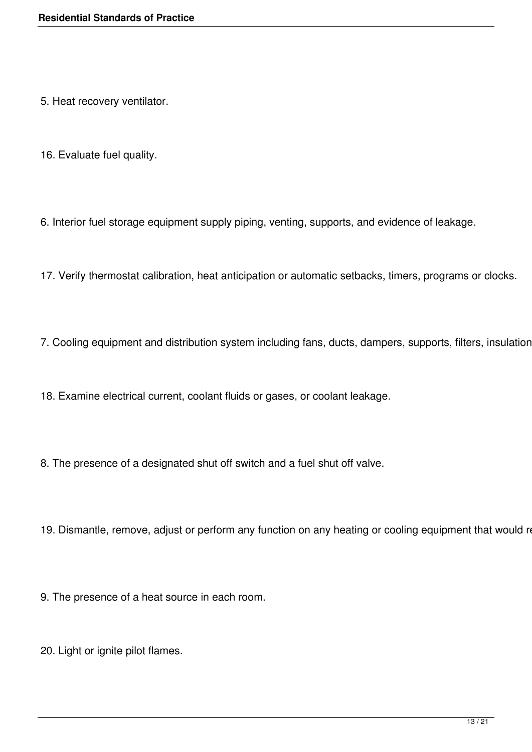- 5. Heat recovery ventilator.
- 16. Evaluate fuel quality.
- 6. Interior fuel storage equipment supply piping, venting, supports, and evidence of leakage.
- 17. Verify thermostat calibration, heat anticipation or automatic setbacks, timers, programs or clocks.
- 7. Cooling equipment and distribution system including fans, ducts, dampers, supports, filters, insulation
- 18. Examine electrical current, coolant fluids or gases, or coolant leakage.
- 8. The presence of a designated shut off switch and a fuel shut off valve.
- 19. Dismantle, remove, adjust or perform any function on any heating or cooling equipment that would re
- 9. The presence of a heat source in each room.
- 20. Light or ignite pilot flames.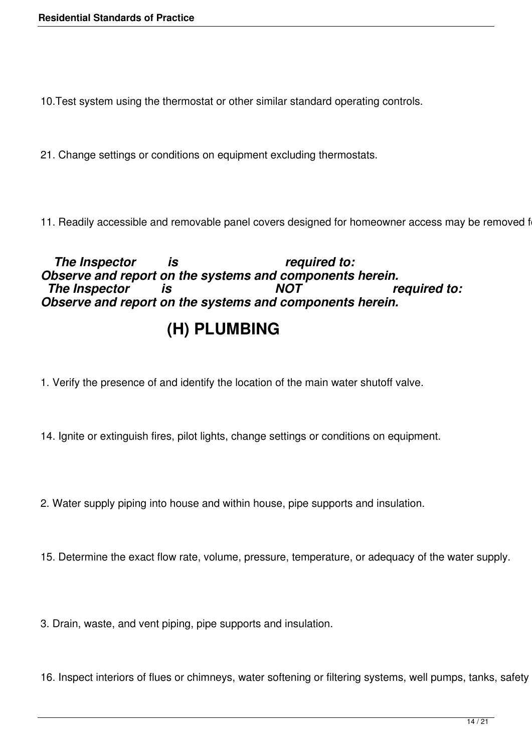10.Test system using the thermostat or other similar standard operating controls.

21. Change settings or conditions on equipment excluding thermostats.

11. Readily accessible and removable panel covers designed for homeowner access may be removed f

 *The Inspector is required to: Observe and report on the systems and components herein. The Inspector is NOT required to: Observe and report on the systems and components herein.*

### **(H) PLUMBING**

- 1. Verify the presence of and identify the location of the main water shutoff valve.
- 14. Ignite or extinguish fires, pilot lights, change settings or conditions on equipment.
- 2. Water supply piping into house and within house, pipe supports and insulation.
- 15. Determine the exact flow rate, volume, pressure, temperature, or adequacy of the water supply.

3. Drain, waste, and vent piping, pipe supports and insulation.

16. Inspect interiors of flues or chimneys, water softening or filtering systems, well pumps, tanks, safety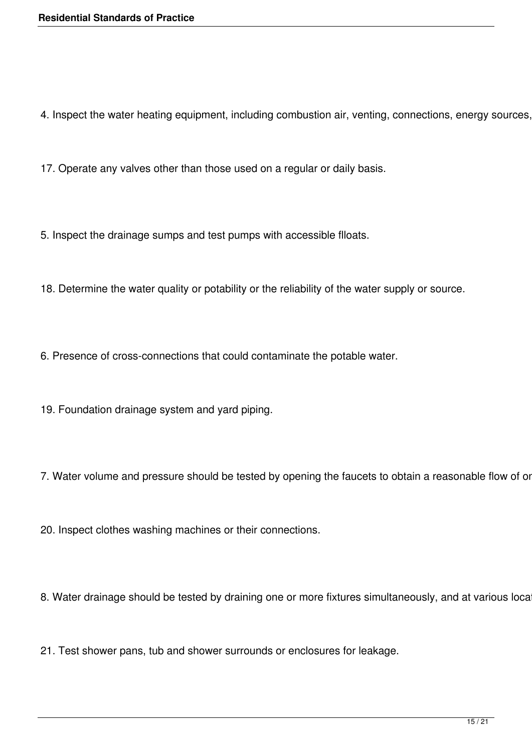4. Inspect the water heating equipment, including combustion air, venting, connections, energy sources,

17. Operate any valves other than those used on a regular or daily basis.

5. Inspect the drainage sumps and test pumps with accessible flloats.

18. Determine the water quality or potability or the reliability of the water supply or source.

6. Presence of cross-connections that could contaminate the potable water.

19. Foundation drainage system and yard piping.

7. Water volume and pressure should be tested by opening the faucets to obtain a reasonable flow of or

20. Inspect clothes washing machines or their connections.

8. Water drainage should be tested by draining one or more fixtures simultaneously, and at various loca

21. Test shower pans, tub and shower surrounds or enclosures for leakage.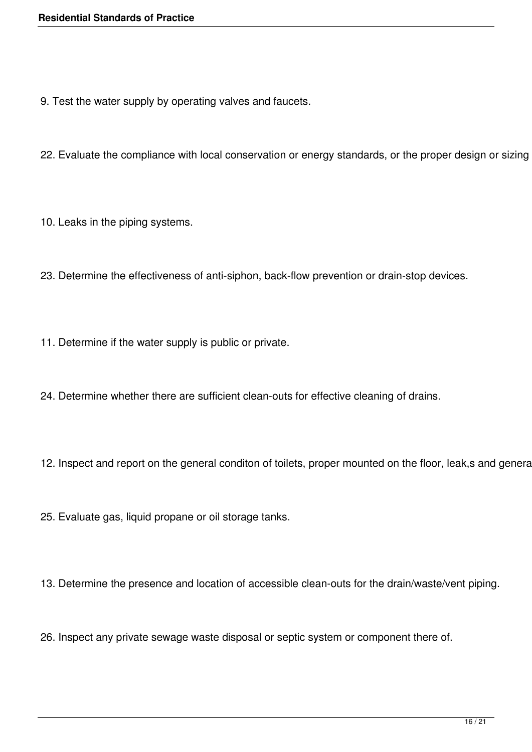9. Test the water supply by operating valves and faucets.

22. Evaluate the compliance with local conservation or energy standards, or the proper design or sizing

10. Leaks in the piping systems.

23. Determine the effectiveness of anti-siphon, back-flow prevention or drain-stop devices.

11. Determine if the water supply is public or private.

24. Determine whether there are sufficient clean-outs for effective cleaning of drains.

12. Inspect and report on the general conditon of toilets, proper mounted on the floor, leak,s and genera

25. Evaluate gas, liquid propane or oil storage tanks.

13. Determine the presence and location of accessible clean-outs for the drain/waste/vent piping.

26. Inspect any private sewage waste disposal or septic system or component there of.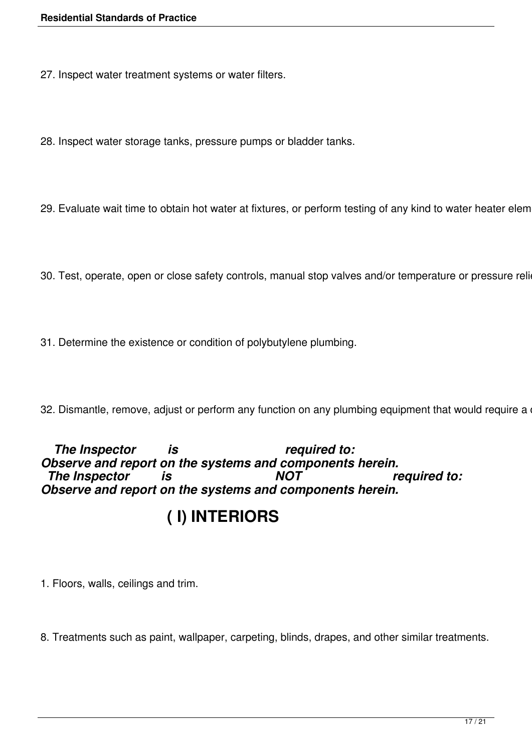27. Inspect water treatment systems or water filters.

28. Inspect water storage tanks, pressure pumps or bladder tanks.

29. Evaluate wait time to obtain hot water at fixtures, or perform testing of any kind to water heater elem

30. Test, operate, open or close safety controls, manual stop valves and/or temperature or pressure reli

31. Determine the existence or condition of polybutylene plumbing.

32. Dismantle, remove, adjust or perform any function on any plumbing equipment that would require a

#### The Inspector is the required to: *Observe and report on the systems and components herein. The Inspector is NOT required to: Observe and report on the systems and components herein.*

### **( I) INTERIORS**

1. Floors, walls, ceilings and trim.

8. Treatments such as paint, wallpaper, carpeting, blinds, drapes, and other similar treatments.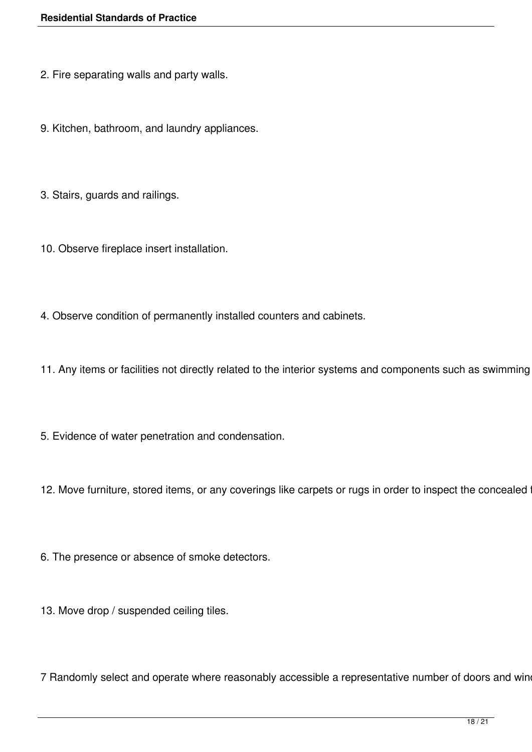- 2. Fire separating walls and party walls.
- 9. Kitchen, bathroom, and laundry appliances.
- 3. Stairs, guards and railings.
- 10. Observe fireplace insert installation.
- 4. Observe condition of permanently installed counters and cabinets.
- 11. Any items or facilities not directly related to the interior systems and components such as swimming
- 5. Evidence of water penetration and condensation.
- 12. Move furniture, stored items, or any coverings like carpets or rugs in order to inspect the concealed
- 6. The presence or absence of smoke detectors.
- 13. Move drop / suspended ceiling tiles.

7 Randomly select and operate where reasonably accessible a representative number of doors and win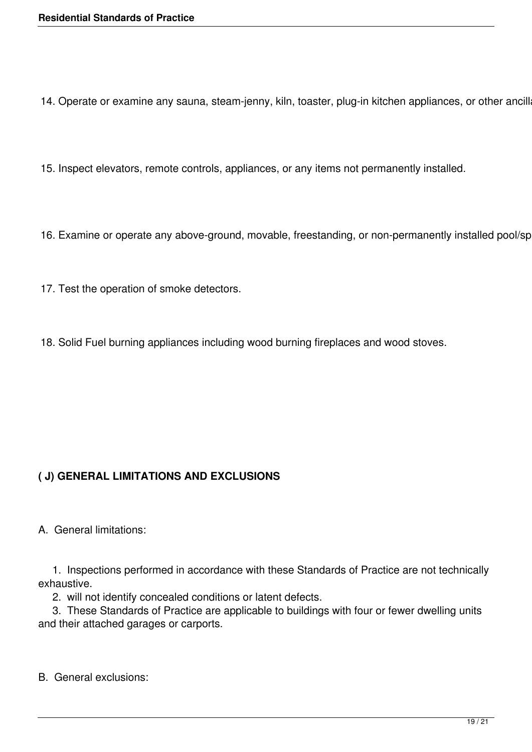14. Operate or examine any sauna, steam-jenny, kiln, toaster, plug-in kitchen appliances, or other ancill

- 15. Inspect elevators, remote controls, appliances, or any items not permanently installed.
- 16. Examine or operate any above-ground, movable, freestanding, or non-permanently installed pool/sp
- 17. Test the operation of smoke detectors.
- 18. Solid Fuel burning appliances including wood burning fireplaces and wood stoves.

### **( J) GENERAL LIMITATIONS AND EXCLUSIONS**

A. General limitations:

 1. Inspections performed in accordance with these Standards of Practice are not technically exhaustive.

2. will not identify concealed conditions or latent defects.

 3. These Standards of Practice are applicable to buildings with four or fewer dwelling units and their attached garages or carports.

B. General exclusions: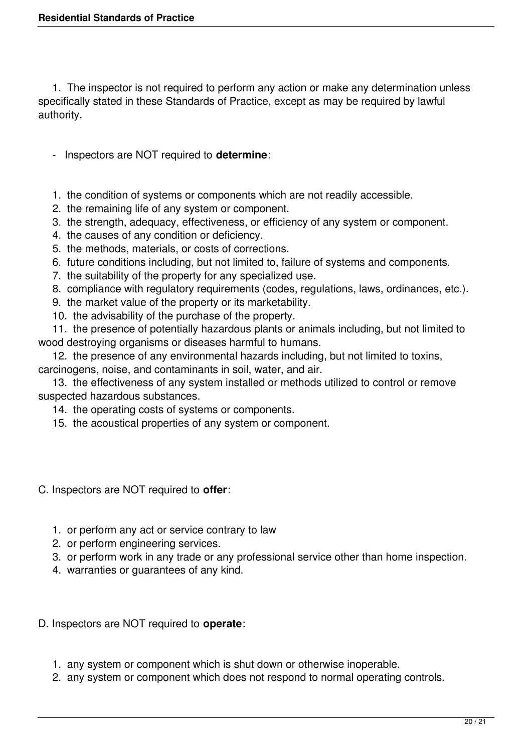1. The inspector is not required to perform any action or make any determination unless specifically stated in these Standards of Practice, except as may be required by lawful authority.

- Inspectors are NOT required to **determine**:
- 1. the condition of systems or components which are not readily accessible.
- 2. the remaining life of any system or component.
- 3. the strength, adequacy, effectiveness, or efficiency of any system or component.
- 4. the causes of any condition or deficiency.
- 5. the methods, materials, or costs of corrections.
- 6. future conditions including, but not limited to, failure of systems and components.
- 7. the suitability of the property for any specialized use.
- 8. compliance with regulatory requirements (codes, regulations, laws, ordinances, etc.).
- 9. the market value of the property or its marketability.
- 10. the advisability of the purchase of the property.

 11. the presence of potentially hazardous plants or animals including, but not limited to wood destroying organisms or diseases harmful to humans.

 12. the presence of any environmental hazards including, but not limited to toxins, carcinogens, noise, and contaminants in soil, water, and air.

 13. the effectiveness of any system installed or methods utilized to control or remove suspected hazardous substances.

- 14. the operating costs of systems or components.
- 15. the acoustical properties of any system or component.
- C. Inspectors are NOT required to **offer**:
	- 1. or perform any act or service contrary to law
	- 2. or perform engineering services.
	- 3. or perform work in any trade or any professional service other than home inspection.
	- 4. warranties or guarantees of any kind.
- D. Inspectors are NOT required to **operate**:
	- 1. any system or component which is shut down or otherwise inoperable.
	- 2. any system or component which does not respond to normal operating controls.